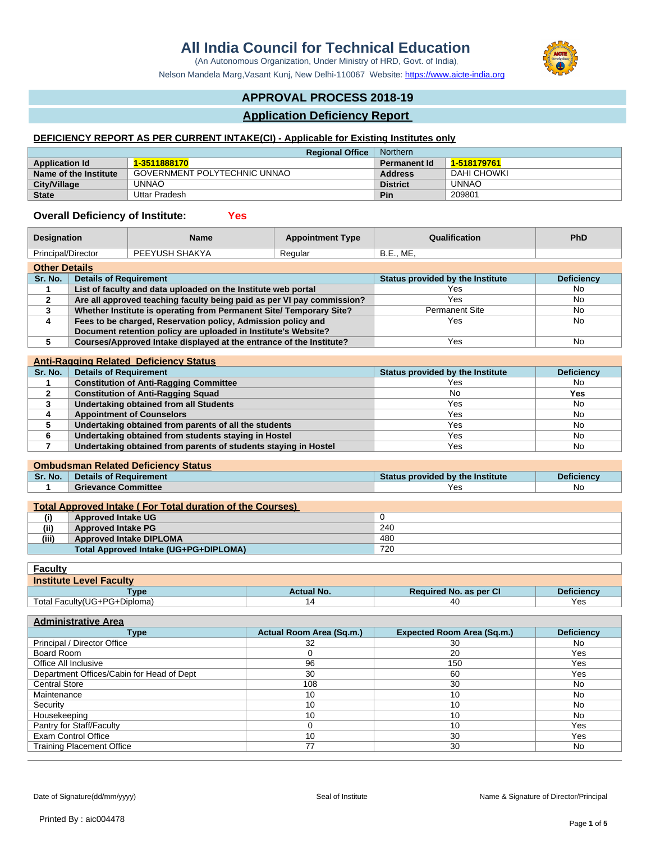# **All India Council for Technical Education**

(An Autonomous Organization, Under Ministry of HRD, Govt. of India)

Nelson Mandela Marg, Vasant Kunj, New Delhi-110067 Website:<https://www.aicte-india.org>

# **APPROVAL PROCESS 2018-19**

# **Application Deficiency Report**

# **DEFICIENCY REPORT AS PER CURRENT INTAKE(CI) - Applicable for Existing Institutes only**

| <b>Regional Office</b> |                              | Northern            |             |
|------------------------|------------------------------|---------------------|-------------|
| <b>Application Id</b>  | 1-3511888170                 | <b>Permanent Id</b> | 1-518179761 |
| Name of the Institute  | GOVERNMENT POLYTECHNIC UNNAO | <b>Address</b>      | DAHI CHOWKI |
| <b>City/Village</b>    | UNNAO                        | <b>District</b>     | UNNAO       |
| <b>State</b>           | Uttar Pradesh                | Pin                 | 209801      |

### **Overall Deficiency of Institute: Yes**

| <b>Designation</b>   |                                                                        | <b>Name</b>                                                         | <b>Appointment Type</b> | Qualification                    | <b>PhD</b>        |
|----------------------|------------------------------------------------------------------------|---------------------------------------------------------------------|-------------------------|----------------------------------|-------------------|
| Principal/Director   |                                                                        | PEEYUSH SHAKYA                                                      | Regular                 | <b>B.E., ME,</b>                 |                   |
| <b>Other Details</b> |                                                                        |                                                                     |                         |                                  |                   |
| Sr. No.              | <b>Details of Requirement</b>                                          |                                                                     |                         | Status provided by the Institute | <b>Deficiency</b> |
|                      | List of faculty and data uploaded on the Institute web portal          |                                                                     | Yes                     | No                               |                   |
| 2                    | Are all approved teaching faculty being paid as per VI pay commission? |                                                                     | Yes                     | No                               |                   |
|                      | Whether Institute is operating from Permanent Site/ Temporary Site?    |                                                                     |                         | <b>Permanent Site</b>            | No                |
| 4                    | Fees to be charged, Reservation policy, Admission policy and           |                                                                     |                         | Yes                              | No                |
|                      |                                                                        | Document retention policy are uploaded in Institute's Website?      |                         |                                  |                   |
|                      |                                                                        | Courses/Approved Intake displayed at the entrance of the Institute? |                         | Yes                              | No                |
|                      |                                                                        | Apti-Pagging Polated, Deficionew Status                             |                         |                                  |                   |
|                      |                                                                        |                                                                     |                         |                                  |                   |

|         | Allu-Rayying Related Deliciency Olatus                          |                                  |                   |
|---------|-----------------------------------------------------------------|----------------------------------|-------------------|
| Sr. No. | <b>Details of Requirement</b>                                   | Status provided by the Institute | <b>Deficiency</b> |
|         | <b>Constitution of Anti-Ragging Committee</b>                   | Yes                              | No.               |
|         | <b>Constitution of Anti-Ragging Squad</b>                       | No                               | Yes               |
|         | <b>Undertaking obtained from all Students</b>                   | Yes                              | No                |
|         | <b>Appointment of Counselors</b>                                | Yes                              | No                |
|         | Undertaking obtained from parents of all the students           | Yes                              | No                |
|         | Undertaking obtained from students staying in Hostel            | Yes                              | No                |
|         | Undertaking obtained from parents of students staying in Hostel | Yes                              | No.               |
|         |                                                                 |                                  |                   |

#### **Ombudsman Related Deficiency Status**

| Sr. No. | Details of Requirement                                           | Status provided by the Institute | <b>Deficiency</b> |
|---------|------------------------------------------------------------------|----------------------------------|-------------------|
|         | <b>Grievance Committee</b>                                       | Yes                              | No                |
|         |                                                                  |                                  |                   |
|         | <b>Total Approved Intake (For Total duration of the Courses)</b> |                                  |                   |
| (i)     | <b>Approved Intake UG</b>                                        |                                  |                   |
| (ii)    | <b>Approved Intake PG</b>                                        | 240                              |                   |

| (iii) | <b>Approved Intake DIPLOMA</b>        | 480 |
|-------|---------------------------------------|-----|
|       | Total Approved Intake (UG+PG+DIPLOMA) | 720 |

| <u>Faculty</u>                 |                   |                               |                   |  |  |
|--------------------------------|-------------------|-------------------------------|-------------------|--|--|
| <b>Institute Level Faculty</b> |                   |                               |                   |  |  |
| Type                           | <b>Actual No.</b> | <b>Required No. as per CI</b> | <b>Deficiency</b> |  |  |
| Total Faculty(UG+PG+Diploma)   | 14                | 40                            | Yes               |  |  |

| <b>Administrative Area</b>                |                          |                                   |                   |  |
|-------------------------------------------|--------------------------|-----------------------------------|-------------------|--|
| Type                                      | Actual Room Area (Sq.m.) | <b>Expected Room Area (Sq.m.)</b> | <b>Deficiency</b> |  |
| Principal / Director Office               | 32                       | 30                                | No.               |  |
| Board Room                                |                          | 20                                | Yes               |  |
| Office All Inclusive                      | 96                       | 150                               | Yes               |  |
| Department Offices/Cabin for Head of Dept | 30                       | 60                                | Yes               |  |
| <b>Central Store</b>                      | 108                      | 30                                | No                |  |
| Maintenance                               | 10                       | 10                                | <b>No</b>         |  |
| Security                                  | 10                       | 10                                | No                |  |
| Housekeeping                              | 10                       | 10                                | No                |  |
| Pantry for Staff/Faculty                  |                          | 10                                | Yes               |  |
| <b>Exam Control Office</b>                | 10                       | 30                                | Yes               |  |
| <b>Training Placement Office</b>          | 77                       | 30                                | No                |  |

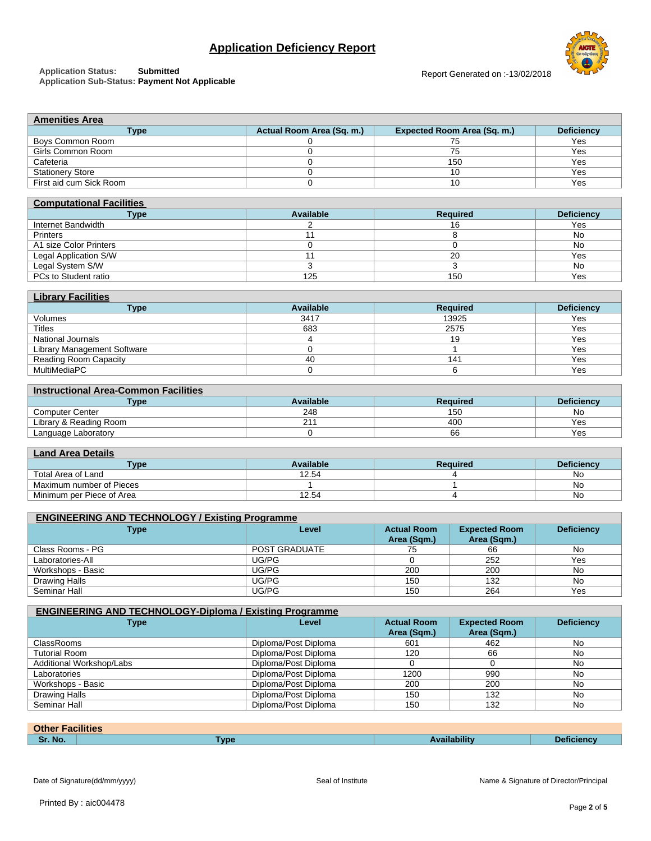### **Application Status: Submitted Application Sub-Status: Payment Not Applicable**





| <b>Computational Facilities</b> |           |                 |                   |  |  |
|---------------------------------|-----------|-----------------|-------------------|--|--|
| <b>Type</b>                     | Available | <b>Required</b> | <b>Deficiency</b> |  |  |
| Internet Bandwidth              |           | 16              | Yes               |  |  |
| <b>Printers</b>                 |           |                 | No                |  |  |
| A1 size Color Printers          |           |                 | No                |  |  |
| Legal Application S/W           |           | 20              | Yes               |  |  |
| Legal System S/W                |           |                 | No                |  |  |
| PCs to Student ratio            | 125       | 150             | Yes               |  |  |

| <b>Library Facilities</b>    |           |                 |                   |  |  |
|------------------------------|-----------|-----------------|-------------------|--|--|
| <b>Type</b>                  | Available | <b>Required</b> | <b>Deficiency</b> |  |  |
| Volumes                      | 3417      | 13925           | Yes               |  |  |
| <b>Titles</b>                | 683       | 2575            | Yes               |  |  |
| National Journals            |           | 19              | Yes               |  |  |
| Library Management Software  |           |                 | Yes               |  |  |
| <b>Reading Room Capacity</b> | 40        | 141             | Yes               |  |  |
| MultiMediaPC                 |           |                 | Yes               |  |  |

#### **Instructional Area-Common Facilities**

| <b>Type</b>            | Available | Required | Deficiencv |
|------------------------|-----------|----------|------------|
| Computer Center        | 248       | 150      | No         |
| Library & Reading Room | _         | 400      | Yes        |
| Language Laboratory    |           | 66       | ⁄es        |

# **Land Area Details**

| _________________         |                              |  |                   |  |  |
|---------------------------|------------------------------|--|-------------------|--|--|
| ⊺vpe                      | <b>Available</b><br>Required |  | <b>Deficiency</b> |  |  |
| Total Area of Land        | 12.54                        |  | Νo                |  |  |
| Maximum number of Pieces  |                              |  | N0                |  |  |
| Minimum per Piece of Area | 2.54                         |  | N0                |  |  |

| <b>ENGINEERING AND TECHNOLOGY / Existing Programme</b> |                      |                                   |                                     |                   |  |
|--------------------------------------------------------|----------------------|-----------------------------------|-------------------------------------|-------------------|--|
| <b>Type</b>                                            | Level                | <b>Actual Room</b><br>Area (Sqm.) | <b>Expected Room</b><br>Area (Sqm.) | <b>Deficiency</b> |  |
| Class Rooms - PG                                       | <b>POST GRADUATE</b> | 75                                | 66                                  | No.               |  |
| Laboratories-All                                       | UG/PG                |                                   | 252                                 | Yes               |  |
| Workshops - Basic                                      | UG/PG                | 200                               | 200                                 | No                |  |
| Drawing Halls                                          | UG/PG                | 150                               | 132                                 | No                |  |
| Seminar Hall                                           | UG/PG                | 150                               | 264                                 | Yes               |  |

| <b>ENGINEERING AND TECHNOLOGY-Diploma / Existing Programme</b> |                      |                                   |                                     |                   |
|----------------------------------------------------------------|----------------------|-----------------------------------|-------------------------------------|-------------------|
| <b>Type</b>                                                    | Level                | <b>Actual Room</b><br>Area (Sqm.) | <b>Expected Room</b><br>Area (Sqm.) | <b>Deficiency</b> |
| <b>ClassRooms</b>                                              | Diploma/Post Diploma | 601                               | 462                                 | No.               |
| <b>Tutorial Room</b>                                           | Diploma/Post Diploma | 120                               | 66                                  | N <sub>0</sub>    |
| Additional Workshop/Labs                                       | Diploma/Post Diploma |                                   |                                     | No.               |
| Laboratories                                                   | Diploma/Post Diploma | 1200                              | 990                                 | N <sub>0</sub>    |
| Workshops - Basic                                              | Diploma/Post Diploma | 200                               | 200                                 | No.               |
| Drawing Halls                                                  | Diploma/Post Diploma | 150                               | 132                                 | <b>No</b>         |
| Seminar Hall                                                   | Diploma/Post Diploma | 150                               | 132                                 | No                |

| <b>Other Facilities</b> |             |                     |                   |
|-------------------------|-------------|---------------------|-------------------|
| Sr. No.                 | <b>Type</b> | <b>Availabilitv</b> | <b>Deficiency</b> |
|                         |             |                     |                   |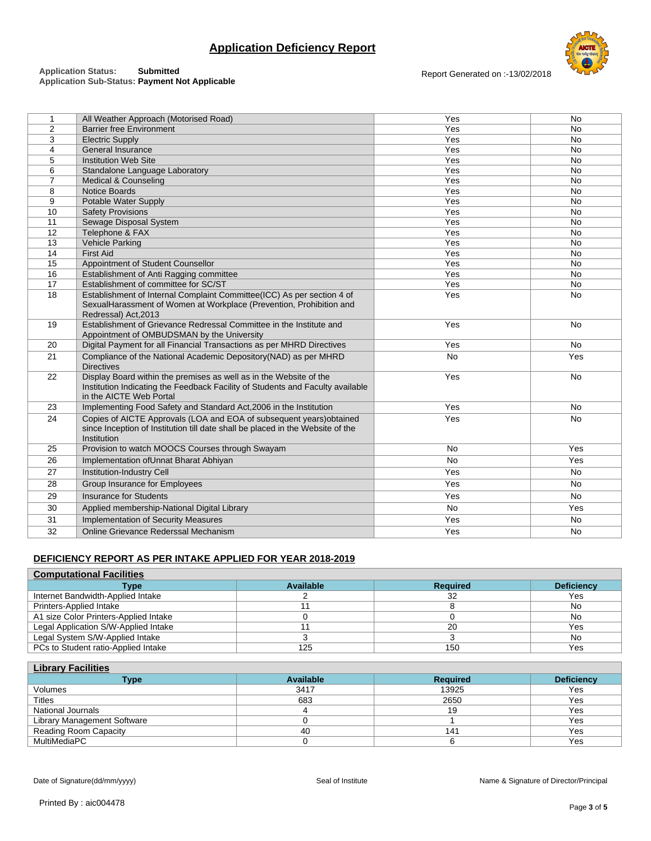#### **Application Status: Submitted Application Sub-Status: Payment Not Applicable**





|                | All Weather Approach (Motorised Road)                                                                                                                                           | Yes       | <b>No</b> |
|----------------|---------------------------------------------------------------------------------------------------------------------------------------------------------------------------------|-----------|-----------|
| $\overline{2}$ | <b>Barrier free Environment</b>                                                                                                                                                 | Yes       | <b>No</b> |
| 3              | <b>Electric Supply</b>                                                                                                                                                          | Yes       | <b>No</b> |
| 4              | General Insurance                                                                                                                                                               | Yes       | <b>No</b> |
| 5              | <b>Institution Web Site</b>                                                                                                                                                     | Yes       | <b>No</b> |
| 6              | Standalone Language Laboratory                                                                                                                                                  | Yes       | <b>No</b> |
| $\overline{7}$ | <b>Medical &amp; Counseling</b>                                                                                                                                                 | Yes       | <b>No</b> |
| 8              | Notice Boards                                                                                                                                                                   | Yes       | <b>No</b> |
| 9              | Potable Water Supply                                                                                                                                                            | Yes       | <b>No</b> |
| 10             | <b>Safety Provisions</b>                                                                                                                                                        | Yes       | <b>No</b> |
| 11             | Sewage Disposal System                                                                                                                                                          | Yes       | <b>No</b> |
| 12             | Telephone & FAX                                                                                                                                                                 | Yes       | <b>No</b> |
| 13             | <b>Vehicle Parking</b>                                                                                                                                                          | Yes       | <b>No</b> |
| 14             | <b>First Aid</b>                                                                                                                                                                | Yes       | <b>No</b> |
| 15             | Appointment of Student Counsellor                                                                                                                                               | Yes       | <b>No</b> |
| 16             | Establishment of Anti Ragging committee                                                                                                                                         | Yes       | <b>No</b> |
| 17             | Establishment of committee for SC/ST                                                                                                                                            | Yes       | <b>No</b> |
| 18             | Establishment of Internal Complaint Committee(ICC) As per section 4 of<br>SexualHarassment of Women at Workplace (Prevention, Prohibition and<br>Redressal) Act, 2013           | Yes       | <b>No</b> |
| 19             | Establishment of Grievance Redressal Committee in the Institute and<br>Appointment of OMBUDSMAN by the University                                                               | Yes       | <b>No</b> |
| 20             | Digital Payment for all Financial Transactions as per MHRD Directives                                                                                                           | Yes       | No        |
| 21             | Compliance of the National Academic Depository(NAD) as per MHRD<br><b>Directives</b>                                                                                            | <b>No</b> | Yes       |
| 22             | Display Board within the premises as well as in the Website of the<br>Institution Indicating the Feedback Facility of Students and Faculty available<br>in the AICTE Web Portal | Yes       | <b>No</b> |
| 23             | Implementing Food Safety and Standard Act, 2006 in the Institution                                                                                                              | Yes       | <b>No</b> |
| 24             | Copies of AICTE Approvals (LOA and EOA of subsequent years) obtained<br>since Inception of Institution till date shall be placed in the Website of the<br>Institution           | Yes       | <b>No</b> |
| 25             | Provision to watch MOOCS Courses through Swayam                                                                                                                                 | No        | Yes       |
| 26             | Implementation of Unnat Bharat Abhiyan                                                                                                                                          | <b>No</b> | Yes       |

# **DEFICIENCY REPORT AS PER INTAKE APPLIED FOR YEAR 2018-2019**

| <b>Computational Facilities</b>       |           |                 |                   |  |
|---------------------------------------|-----------|-----------------|-------------------|--|
| Type                                  | Available | <b>Required</b> | <b>Deficiency</b> |  |
| Internet Bandwidth-Applied Intake     |           | 32              | Yes               |  |
| Printers-Applied Intake               |           |                 | No                |  |
| A1 size Color Printers-Applied Intake |           |                 | No                |  |
| Legal Application S/W-Applied Intake  |           | 20              | Yes               |  |
| Legal System S/W-Applied Intake       |           |                 | No                |  |
| PCs to Student ratio-Applied Intake   | 125       | 150             | Yes               |  |

and a structure of the United States of the United States and Testament Control of the North Control of the North Control of the North Control of the North Control of the North Control of the North Control of the North Con 28 Group Insurance for Employees No. 28 Group Insurance for Employees No. 28 Group Insurance for Employees No. 29 Insurance for Students No. 2008 No. 2012 12:30 No. 2012 12:30 No. 2012 12:30 No. 2012 12:30 No. 2012 12:30 No 30 Applied membership-National Digital Library No No Yes 31 Implementation of Security Measures Yes No 32 Online Grievance Rederssal Mechanism Yes No

| <b>Library Facilities</b>    |                  |                 |                   |  |  |
|------------------------------|------------------|-----------------|-------------------|--|--|
| Type                         | <b>Available</b> | <b>Required</b> | <b>Deficiency</b> |  |  |
| Volumes                      | 3417             | 13925           | Yes               |  |  |
| <b>Titles</b>                | 683              | 2650            | Yes               |  |  |
| <b>National Journals</b>     |                  | 19              | Yes               |  |  |
| Library Management Software  |                  |                 | Yes               |  |  |
| <b>Reading Room Capacity</b> | 40               | 141             | Yes               |  |  |
| MultiMediaPC                 |                  |                 | Yes               |  |  |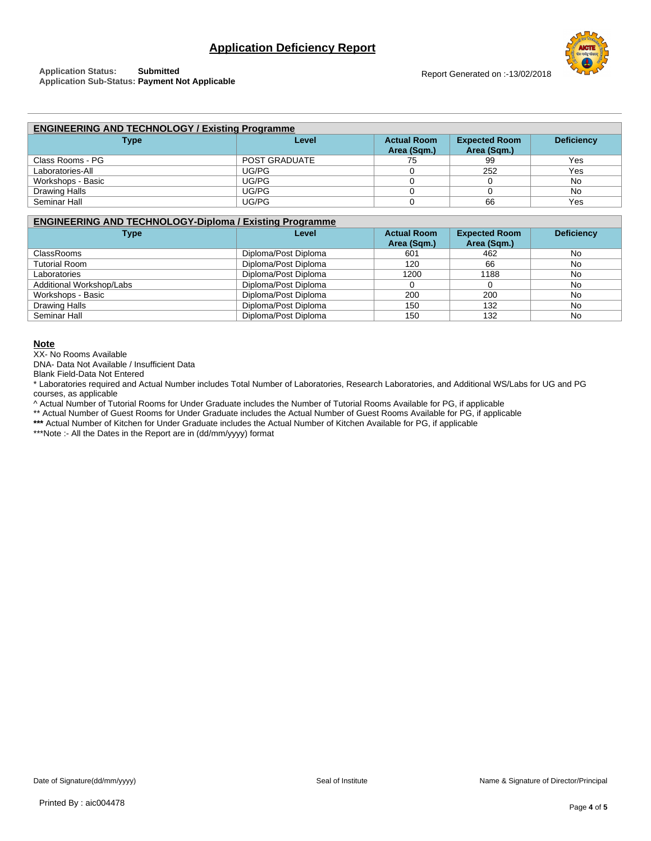| <b>ENGINEERING AND TECHNOLOGY / Existing Programme</b> |               |                    |                      |                   |
|--------------------------------------------------------|---------------|--------------------|----------------------|-------------------|
| <b>Type</b>                                            | Level         | <b>Actual Room</b> | <b>Expected Room</b> | <b>Deficiency</b> |
|                                                        |               | Area (Sqm.)        | Area (Sqm.)          |                   |
| Class Rooms - PG                                       | POST GRADUATE | 75                 | 99                   | Yes               |
| Laboratories-All                                       | UG/PG         |                    | 252                  | Yes               |
| Workshops - Basic                                      | UG/PG         |                    |                      | No                |
| Drawing Halls                                          | UG/PG         |                    |                      | No                |
| Seminar Hall                                           | UG/PG         |                    | 66                   | Yes               |

# **ENGINEERING AND TECHNOLOGY-Diploma / Existing Programme**

| Type                     | Level                | <b>Actual Room</b><br>Area (Sqm.) | <b>Expected Room</b><br>Area (Sqm.) | <b>Deficiency</b> |
|--------------------------|----------------------|-----------------------------------|-------------------------------------|-------------------|
| <b>ClassRooms</b>        | Diploma/Post Diploma | 601                               | 462                                 | No                |
| <b>Tutorial Room</b>     | Diploma/Post Diploma | 120                               | 66                                  | No                |
| Laboratories             | Diploma/Post Diploma | 1200                              | 1188                                | No                |
| Additional Workshop/Labs | Diploma/Post Diploma |                                   | 0                                   | No                |
| Workshops - Basic        | Diploma/Post Diploma | 200                               | 200                                 | No                |
| Drawing Halls            | Diploma/Post Diploma | 150                               | 132                                 | No                |
| Seminar Hall             | Diploma/Post Diploma | 150                               | 132                                 | No                |

#### **Note**

XX- No Rooms Available

DNA- Data Not Available / Insufficient Data

Blank Field-Data Not Entered

\* Laboratories required and Actual Number includes Total Number of Laboratories, Research Laboratories, and Additional WS/Labs for UG and PG courses, as applicable

^ Actual Number of Tutorial Rooms for Under Graduate includes the Number of Tutorial Rooms Available for PG, if applicable

\*\* Actual Number of Guest Rooms for Under Graduate includes the Actual Number of Guest Rooms Available for PG, if applicable

**\*\*\*** Actual Number of Kitchen for Under Graduate includes the Actual Number of Kitchen Available for PG, if applicable

\*\*\*Note :- All the Dates in the Report are in (dd/mm/yyyy) format